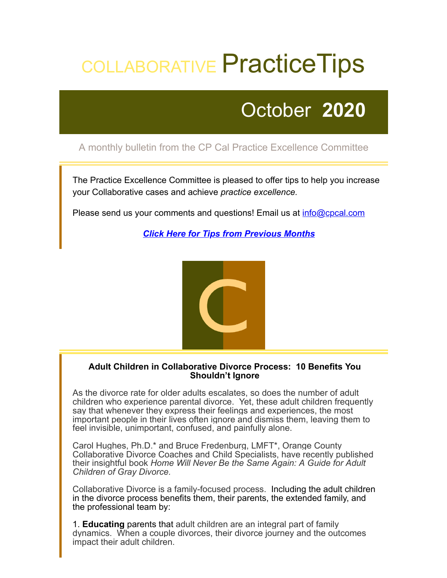# COLLABORATIVE Practice Tips

## October **2020**

### A monthly bulletin from the CP Cal Practice Excellence Committee

The Practice Excellence Committee is pleased to offer tips to help you increase your Collaborative cases and achieve *practice excellence.*

Please send us your comments and questions! Email us at **[info@cpcal.com](mailto:info@cpcal.com)** 

*[Click Here for Tips from Previous Months](http://www.cpcal.com/for-professionals/practice-tips-newsletter/)*



#### **Adult Children in Collaborative Divorce Process: 10 Benefits You Shouldn't Ignore**

As the divorce rate for older adults escalates, so does the number of adult children who experience parental divorce. Yet, these adult children frequently say that whenever they express their feelings and experiences, the most important people in their lives often ignore and dismiss them, leaving them to feel invisible, unimportant, confused, and painfully alone.

Carol Hughes, Ph.D.\* and Bruce Fredenburg, LMFT\*, Orange County Collaborative Divorce Coaches and Child Specialists, have recently published their insightful book *Home Will Never Be the Same Again: A Guide for Adult Children of Gray Divorce.*

Collaborative Divorce is a family-focused process. Including the adult children in the divorce process benefits them, their parents, the extended family, and the professional team by:

1. **Educating** parents that adult children are an integral part of family dynamics. When a couple divorces, their divorce journey and the outcomes impact their adult children.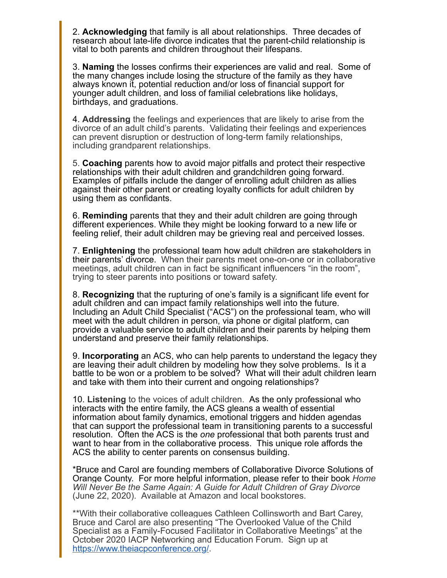2. **Acknowledging** that family is all about relationships. Three decades of research about late-life divorce indicates that the parent-child relationship is vital to both parents and children throughout their lifespans.

3. **Naming** the losses confirms their experiences are valid and real. Some of the many changes include losing the structure of the family as they have always known it, potential reduction and/or loss of financial support for younger adult children, and loss of familial celebrations like holidays, birthdays, and graduations.

4. **Addressing** the feelings and experiences that are likely to arise from the divorce of an adult child's parents. Validating their feelings and experiences can prevent disruption or destruction of long-term family relationships, including grandparent relationships.

5. **Coaching** parents how to avoid major pitfalls and protect their respective relationships with their adult children and grandchildren going forward. Examples of pitfalls include the danger of enrolling adult children as allies against their other parent or creating loyalty conflicts for adult children by using them as confidants.

6. **Reminding** parents that they and their adult children are going through different experiences. While they might be looking forward to a new life or feeling relief, their adult children may be grieving real and perceived losses.

7. **Enlightening** the professional team how adult children are stakeholders in their parents' divorce. When their parents meet one-on-one or in collaborative meetings, adult children can in fact be significant influencers "in the room", trying to steer parents into positions or toward safety.

8. **Recognizing** that the rupturing of one's family is a significant life event for adult children and can impact family relationships well into the future. Including an Adult Child Specialist ("ACS") on the professional team, who will meet with the adult children in person, via phone or digital platform, can provide a valuable service to adult children and their parents by helping them understand and preserve their family relationships.

9. **Incorporating** an ACS, who can help parents to understand the legacy they are leaving their adult children by modeling how they solve problems. Is it a battle to be won or a problem to be solved? What will their adult children learn and take with them into their current and ongoing relationships?

10. **Listening** to the voices of adult children. As the only professional who interacts with the entire family, the ACS gleans a wealth of essential information about family dynamics, emotional triggers and hidden agendas that can support the professional team in transitioning parents to a successful resolution. Often the ACS is the *one* professional that both parents trust and want to hear from in the collaborative process. This unique role affords the ACS the ability to center parents on consensus building.

\*Bruce and Carol are founding members of Collaborative Divorce Solutions of Orange County. For more helpful information, please refer to their book *Home Will Never Be the Same Again: A Guide for Adult Children of Gray Divorce* (June 22, 2020). Available at Amazon and local bookstores.

\*\*With their collaborative colleagues Cathleen Collinsworth and Bart Carey, Bruce and Carol are also presenting "The Overlooked Value of the Child Specialist as a Family-Focused Facilitator in Collaborative Meetings" at the October 2020 IACP Networking and Education Forum. Sign up at <https://www.theiacpconference.org/>.